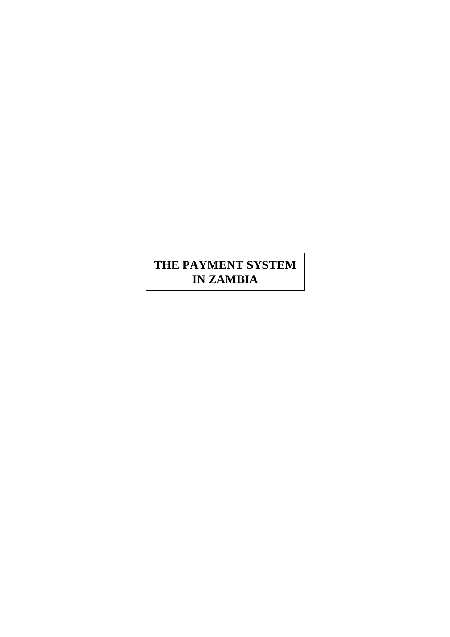# **THE PAYMENT SYSTEM IN ZAMBIA**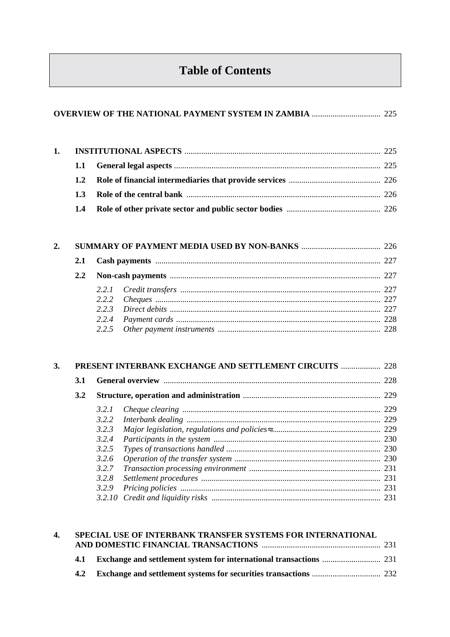# **Table of Contents**

| 1.4 |  |
|-----|--|

| 3. | <b>PRESENT INTERBANK EXCHANGE AND SETTLEMENT CIRCUITS  228</b> |        |  |     |
|----|----------------------------------------------------------------|--------|--|-----|
|    | <b>3.1</b><br>3.2                                              |        |  | 228 |
|    |                                                                |        |  |     |
|    |                                                                | 3.2.1  |  |     |
|    |                                                                | 3.2.2  |  |     |
|    |                                                                | 3.2.3  |  |     |
|    |                                                                | 3.2.4  |  |     |
|    |                                                                | 3.2.5  |  |     |
|    |                                                                | 3.2.6  |  |     |
|    |                                                                | 3.2.7  |  |     |
|    |                                                                | 3.2.8  |  |     |
|    |                                                                | 3.2.9  |  |     |
|    |                                                                | 3.2.10 |  |     |

|     | 4. SPECIAL USE OF INTERBANK TRANSFER SYSTEMS FOR INTERNATIONAL |  |  |  |  |
|-----|----------------------------------------------------------------|--|--|--|--|
|     |                                                                |  |  |  |  |
|     |                                                                |  |  |  |  |
| 4.2 |                                                                |  |  |  |  |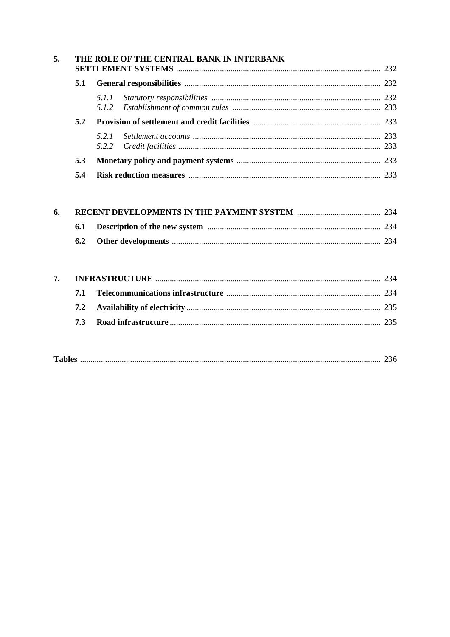| 5. |     | THE ROLE OF THE CENTRAL BANK IN INTERBANK |  |
|----|-----|-------------------------------------------|--|
|    | 5.1 |                                           |  |
|    |     |                                           |  |
|    | 5.2 |                                           |  |
|    |     |                                           |  |
|    | 5.3 |                                           |  |
|    | 5.4 |                                           |  |

| 6. |  |  |  |  |  |
|----|--|--|--|--|--|
|    |  |  |  |  |  |
|    |  |  |  |  |  |

| $T_2$ ki |
|----------|
|----------|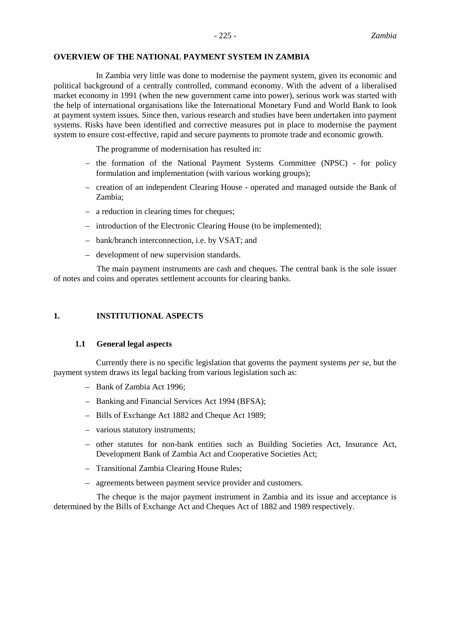## **OVERVIEW OF THE NATIONAL PAYMENT SYSTEM IN ZAMBIA**

In Zambia very little was done to modernise the payment system, given its economic and political background of a centrally controlled, command economy. With the advent of a liberalised market economy in 1991 (when the new government came into power), serious work was started with the help of international organisations like the International Monetary Fund and World Bank to look at payment system issues. Since then, various research and studies have been undertaken into payment systems. Risks have been identified and corrective measures put in place to modernise the payment system to ensure cost-effective, rapid and secure payments to promote trade and economic growth.

The programme of modernisation has resulted in:

- the formation of the National Payment Systems Committee (NPSC) for policy formulation and implementation (with various working groups);
- creation of an independent Clearing House operated and managed outside the Bank of Zambia;
- a reduction in clearing times for cheques;
- introduction of the Electronic Clearing House (to be implemented);
- bank/branch interconnection, i.e. by VSAT; and
- development of new supervision standards.

The main payment instruments are cash and cheques. The central bank is the sole issuer of notes and coins and operates settlement accounts for clearing banks.

# **1. INSTITUTIONAL ASPECTS**

#### **1.1 General legal aspects**

Currently there is no specific legislation that governs the payment systems *per se*, but the payment system draws its legal backing from various legislation such as:

- Bank of Zambia Act 1996;
- Banking and Financial Services Act 1994 (BFSA);
- Bills of Exchange Act 1882 and Cheque Act 1989;
- various statutory instruments;
- other statutes for non-bank entities such as Building Societies Act, Insurance Act, Development Bank of Zambia Act and Cooperative Societies Act;
- Transitional Zambia Clearing House Rules;
- agreements between payment service provider and customers.

The cheque is the major payment instrument in Zambia and its issue and acceptance is determined by the Bills of Exchange Act and Cheques Act of 1882 and 1989 respectively.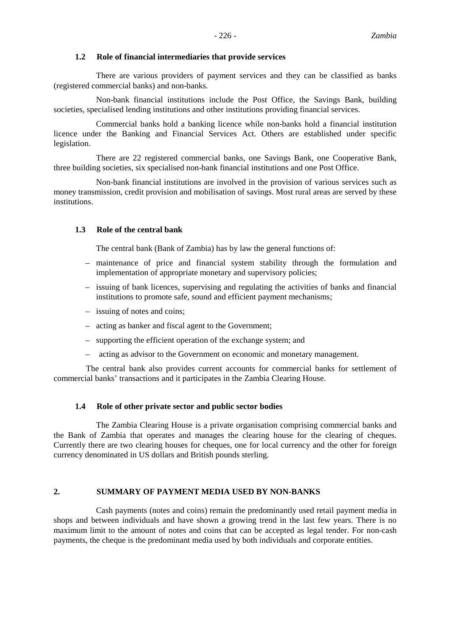#### **1.2 Role of financial intermediaries that provide services**

There are various providers of payment services and they can be classified as banks (registered commercial banks) and non-banks.

Non-bank financial institutions include the Post Office, the Savings Bank, building societies, specialised lending institutions and other institutions providing financial services.

Commercial banks hold a banking licence while non-banks hold a financial institution licence under the Banking and Financial Services Act. Others are established under specific legislation.

There are 22 registered commercial banks, one Savings Bank, one Cooperative Bank, three building societies, six specialised non-bank financial institutions and one Post Office.

Non-bank financial institutions are involved in the provision of various services such as money transmission, credit provision and mobilisation of savings. Most rural areas are served by these institutions.

## **1.3 Role of the central bank**

The central bank (Bank of Zambia) has by law the general functions of:

- maintenance of price and financial system stability through the formulation and implementation of appropriate monetary and supervisory policies;
- issuing of bank licences, supervising and regulating the activities of banks and financial institutions to promote safe, sound and efficient payment mechanisms;
- issuing of notes and coins;
- acting as banker and fiscal agent to the Government;
- supporting the efficient operation of the exchange system; and
- acting as advisor to the Government on economic and monetary management.

The central bank also provides current accounts for commercial banks for settlement of commercial banks' transactions and it participates in the Zambia Clearing House.

#### **1.4 Role of other private sector and public sector bodies**

The Zambia Clearing House is a private organisation comprising commercial banks and the Bank of Zambia that operates and manages the clearing house for the clearing of cheques. Currently there are two clearing houses for cheques, one for local currency and the other for foreign currency denominated in US dollars and British pounds sterling.

# **2. SUMMARY OF PAYMENT MEDIA USED BY NON-BANKS**

Cash payments (notes and coins) remain the predominantly used retail payment media in shops and between individuals and have shown a growing trend in the last few years. There is no maximum limit to the amount of notes and coins that can be accepted as legal tender. For non-cash payments, the cheque is the predominant media used by both individuals and corporate entities.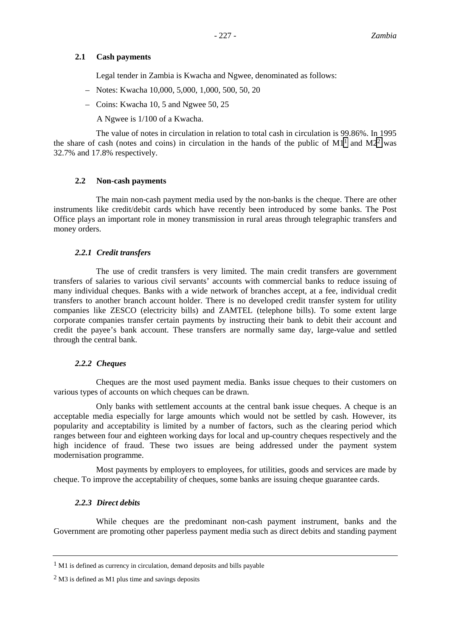# **2.1 Cash payments**

Legal tender in Zambia is Kwacha and Ngwee, denominated as follows:

- Notes: Kwacha 10,000, 5,000, 1,000, 500, 50, 20
- Coins: Kwacha 10, 5 and Ngwee 50, 25

A Ngwee is 1/100 of a Kwacha.

The value of notes in circulation in relation to total cash in circulation is 99.86%. In 1995 the share of cash (notes and coins) in circulation in the hands of the public of  $M1<sup>1</sup>$  and  $M2<sup>2</sup>$  was 32.7% and 17.8% respectively.

## **2.2 Non-cash payments**

The main non-cash payment media used by the non-banks is the cheque. There are other instruments like credit/debit cards which have recently been introduced by some banks. The Post Office plays an important role in money transmission in rural areas through telegraphic transfers and money orders.

# *2.2.1 Credit transfers*

The use of credit transfers is very limited. The main credit transfers are government transfers of salaries to various civil servants' accounts with commercial banks to reduce issuing of many individual cheques. Banks with a wide network of branches accept, at a fee, individual credit transfers to another branch account holder. There is no developed credit transfer system for utility companies like ZESCO (electricity bills) and ZAMTEL (telephone bills). To some extent large corporate companies transfer certain payments by instructing their bank to debit their account and credit the payee's bank account. These transfers are normally same day, large-value and settled through the central bank.

#### *2.2.2 Cheques*

Cheques are the most used payment media. Banks issue cheques to their customers on various types of accounts on which cheques can be drawn.

Only banks with settlement accounts at the central bank issue cheques. A cheque is an acceptable media especially for large amounts which would not be settled by cash. However, its popularity and acceptability is limited by a number of factors, such as the clearing period which ranges between four and eighteen working days for local and up-country cheques respectively and the high incidence of fraud. These two issues are being addressed under the payment system modernisation programme.

Most payments by employers to employees, for utilities, goods and services are made by cheque. To improve the acceptability of cheques, some banks are issuing cheque guarantee cards.

# *2.2.3 Direct debits*

While cheques are the predominant non-cash payment instrument, banks and the Government are promoting other paperless payment media such as direct debits and standing payment

<sup>1</sup> M1 is defined as currency in circulation, demand deposits and bills payable

<sup>2</sup> M3 is defined as M1 plus time and savings deposits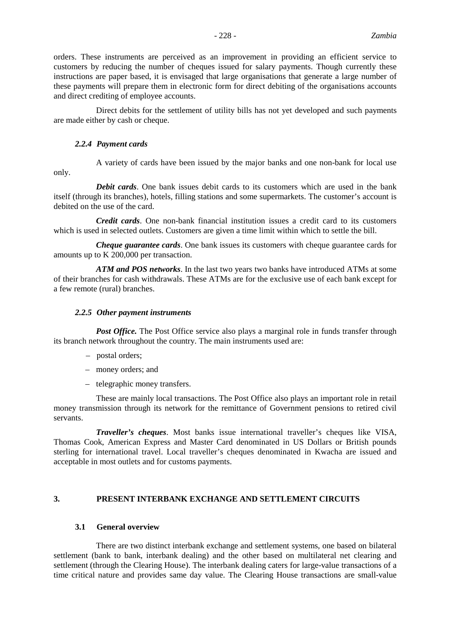- 228 - *Zambia*

orders. These instruments are perceived as an improvement in providing an efficient service to customers by reducing the number of cheques issued for salary payments. Though currently these instructions are paper based, it is envisaged that large organisations that generate a large number of these payments will prepare them in electronic form for direct debiting of the organisations accounts and direct crediting of employee accounts.

Direct debits for the settlement of utility bills has not yet developed and such payments are made either by cash or cheque.

# *2.2.4 Payment cards*

A variety of cards have been issued by the major banks and one non-bank for local use only.

*Debit cards*. One bank issues debit cards to its customers which are used in the bank itself (through its branches), hotels, filling stations and some supermarkets. The customer's account is debited on the use of the card.

*Credit cards*. One non-bank financial institution issues a credit card to its customers which is used in selected outlets. Customers are given a time limit within which to settle the bill.

*Cheque guarantee cards*. One bank issues its customers with cheque guarantee cards for amounts up to K 200,000 per transaction.

*ATM and POS networks*. In the last two years two banks have introduced ATMs at some of their branches for cash withdrawals. These ATMs are for the exclusive use of each bank except for a few remote (rural) branches.

# *2.2.5 Other payment instruments*

*Post Office*. The Post Office service also plays a marginal role in funds transfer through its branch network throughout the country. The main instruments used are:

- postal orders;
- money orders; and
- telegraphic money transfers.

These are mainly local transactions. The Post Office also plays an important role in retail money transmission through its network for the remittance of Government pensions to retired civil servants.

*Traveller's cheques*. Most banks issue international traveller's cheques like VISA, Thomas Cook, American Express and Master Card denominated in US Dollars or British pounds sterling for international travel. Local traveller's cheques denominated in Kwacha are issued and acceptable in most outlets and for customs payments.

# **3. PRESENT INTERBANK EXCHANGE AND SETTLEMENT CIRCUITS**

# **3.1 General overview**

There are two distinct interbank exchange and settlement systems, one based on bilateral settlement (bank to bank, interbank dealing) and the other based on multilateral net clearing and settlement (through the Clearing House). The interbank dealing caters for large-value transactions of a time critical nature and provides same day value. The Clearing House transactions are small-value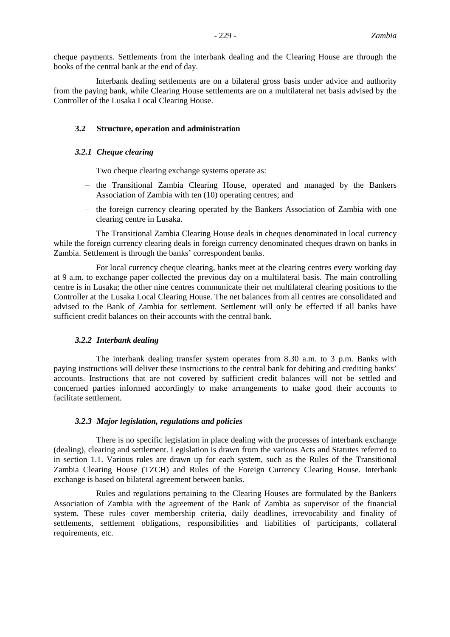cheque payments. Settlements from the interbank dealing and the Clearing House are through the books of the central bank at the end of day.

Interbank dealing settlements are on a bilateral gross basis under advice and authority from the paying bank, while Clearing House settlements are on a multilateral net basis advised by the Controller of the Lusaka Local Clearing House.

#### **3.2 Structure, operation and administration**

#### *3.2.1 Cheque clearing*

Two cheque clearing exchange systems operate as:

- the Transitional Zambia Clearing House, operated and managed by the Bankers Association of Zambia with ten (10) operating centres; and
- the foreign currency clearing operated by the Bankers Association of Zambia with one clearing centre in Lusaka.

The Transitional Zambia Clearing House deals in cheques denominated in local currency while the foreign currency clearing deals in foreign currency denominated cheques drawn on banks in Zambia. Settlement is through the banks' correspondent banks.

For local currency cheque clearing, banks meet at the clearing centres every working day at 9 a.m. to exchange paper collected the previous day on a multilateral basis. The main controlling centre is in Lusaka; the other nine centres communicate their net multilateral clearing positions to the Controller at the Lusaka Local Clearing House. The net balances from all centres are consolidated and advised to the Bank of Zambia for settlement. Settlement will only be effected if all banks have sufficient credit balances on their accounts with the central bank.

#### *3.2.2 Interbank dealing*

The interbank dealing transfer system operates from 8.30 a.m. to 3 p.m. Banks with paying instructions will deliver these instructions to the central bank for debiting and crediting banks' accounts. Instructions that are not covered by sufficient credit balances will not be settled and concerned parties informed accordingly to make arrangements to make good their accounts to facilitate settlement.

#### *3.2.3 Major legislation, regulations and policies*

There is no specific legislation in place dealing with the processes of interbank exchange (dealing), clearing and settlement. Legislation is drawn from the various Acts and Statutes referred to in section 1.1. Various rules are drawn up for each system, such as the Rules of the Transitional Zambia Clearing House (TZCH) and Rules of the Foreign Currency Clearing House. Interbank exchange is based on bilateral agreement between banks.

Rules and regulations pertaining to the Clearing Houses are formulated by the Bankers Association of Zambia with the agreement of the Bank of Zambia as supervisor of the financial system. These rules cover membership criteria, daily deadlines, irrevocability and finality of settlements, settlement obligations, responsibilities and liabilities of participants, collateral requirements, etc.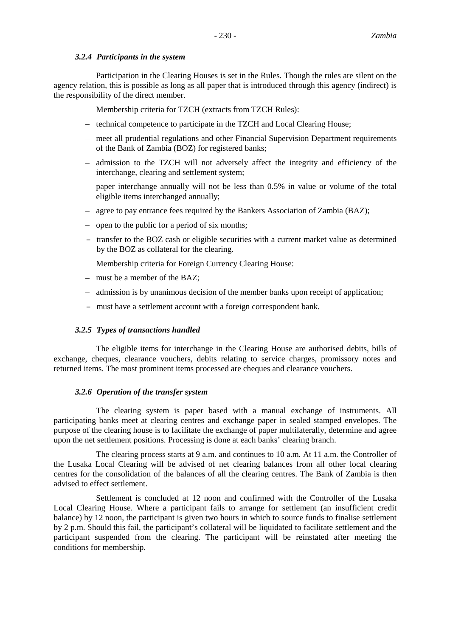# *3.2.4 Participants in the system*

Participation in the Clearing Houses is set in the Rules. Though the rules are silent on the agency relation, this is possible as long as all paper that is introduced through this agency (indirect) is the responsibility of the direct member.

Membership criteria for TZCH (extracts from TZCH Rules):

- technical competence to participate in the TZCH and Local Clearing House;
- meet all prudential regulations and other Financial Supervision Department requirements of the Bank of Zambia (BOZ) for registered banks;
- admission to the TZCH will not adversely affect the integrity and efficiency of the interchange, clearing and settlement system;
- paper interchange annually will not be less than 0.5% in value or volume of the total eligible items interchanged annually;
- agree to pay entrance fees required by the Bankers Association of Zambia (BAZ);
- open to the public for a period of six months;
- transfer to the BOZ cash or eligible securities with a current market value as determined by the BOZ as collateral for the clearing.

Membership criteria for Foreign Currency Clearing House:

- must be a member of the BAZ;
- admission is by unanimous decision of the member banks upon receipt of application;
- must have a settlement account with a foreign correspondent bank.

# *3.2.5 Types of transactions handled*

The eligible items for interchange in the Clearing House are authorised debits, bills of exchange, cheques, clearance vouchers, debits relating to service charges, promissory notes and returned items. The most prominent items processed are cheques and clearance vouchers.

# *3.2.6 Operation of the transfer system*

The clearing system is paper based with a manual exchange of instruments. All participating banks meet at clearing centres and exchange paper in sealed stamped envelopes. The purpose of the clearing house is to facilitate the exchange of paper multilaterally, determine and agree upon the net settlement positions. Processing is done at each banks' clearing branch.

The clearing process starts at 9 a.m. and continues to 10 a.m. At 11 a.m. the Controller of the Lusaka Local Clearing will be advised of net clearing balances from all other local clearing centres for the consolidation of the balances of all the clearing centres. The Bank of Zambia is then advised to effect settlement.

Settlement is concluded at 12 noon and confirmed with the Controller of the Lusaka Local Clearing House. Where a participant fails to arrange for settlement (an insufficient credit balance) by 12 noon, the participant is given two hours in which to source funds to finalise settlement by 2 p.m. Should this fail, the participant's collateral will be liquidated to facilitate settlement and the participant suspended from the clearing. The participant will be reinstated after meeting the conditions for membership.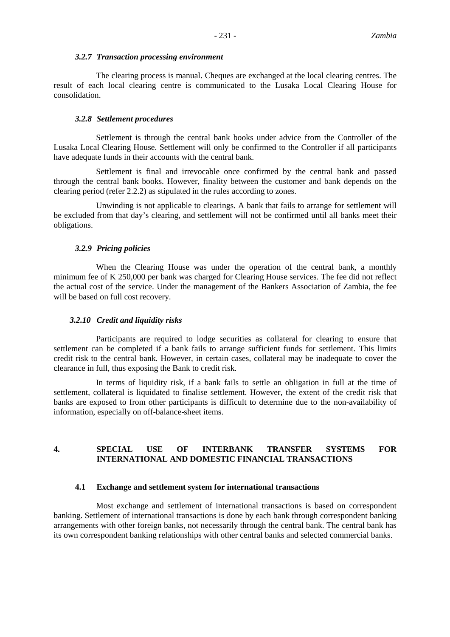#### *3.2.7 Transaction processing environment*

The clearing process is manual. Cheques are exchanged at the local clearing centres. The result of each local clearing centre is communicated to the Lusaka Local Clearing House for consolidation.

#### *3.2.8 Settlement procedures*

Settlement is through the central bank books under advice from the Controller of the Lusaka Local Clearing House. Settlement will only be confirmed to the Controller if all participants have adequate funds in their accounts with the central bank.

Settlement is final and irrevocable once confirmed by the central bank and passed through the central bank books. However, finality between the customer and bank depends on the clearing period (refer 2.2.2) as stipulated in the rules according to zones.

Unwinding is not applicable to clearings. A bank that fails to arrange for settlement will be excluded from that day's clearing, and settlement will not be confirmed until all banks meet their obligations.

#### *3.2.9 Pricing policies*

When the Clearing House was under the operation of the central bank, a monthly minimum fee of K 250,000 per bank was charged for Clearing House services. The fee did not reflect the actual cost of the service. Under the management of the Bankers Association of Zambia, the fee will be based on full cost recovery.

#### *3.2.10 Credit and liquidity risks*

Participants are required to lodge securities as collateral for clearing to ensure that settlement can be completed if a bank fails to arrange sufficient funds for settlement. This limits credit risk to the central bank. However, in certain cases, collateral may be inadequate to cover the clearance in full, thus exposing the Bank to credit risk.

In terms of liquidity risk, if a bank fails to settle an obligation in full at the time of settlement, collateral is liquidated to finalise settlement. However, the extent of the credit risk that banks are exposed to from other participants is difficult to determine due to the non-availability of information, especially on off-balance-sheet items.

# **4. SPECIAL USE OF INTERBANK TRANSFER SYSTEMS FOR INTERNATIONAL AND DOMESTIC FINANCIAL TRANSACTIONS**

#### **4.1 Exchange and settlement system for international transactions**

Most exchange and settlement of international transactions is based on correspondent banking. Settlement of international transactions is done by each bank through correspondent banking arrangements with other foreign banks, not necessarily through the central bank. The central bank has its own correspondent banking relationships with other central banks and selected commercial banks.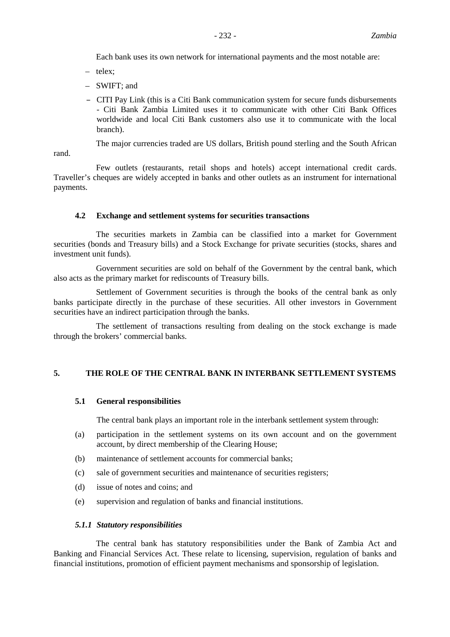Each bank uses its own network for international payments and the most notable are:

- telex;
- SWIFT; and
- CITI Pay Link (this is a Citi Bank communication system for secure funds disbursements - Citi Bank Zambia Limited uses it to communicate with other Citi Bank Offices worldwide and local Citi Bank customers also use it to communicate with the local branch).

The major currencies traded are US dollars, British pound sterling and the South African

rand.

Few outlets (restaurants, retail shops and hotels) accept international credit cards. Traveller's cheques are widely accepted in banks and other outlets as an instrument for international payments.

# **4.2 Exchange and settlement systems for securities transactions**

The securities markets in Zambia can be classified into a market for Government securities (bonds and Treasury bills) and a Stock Exchange for private securities (stocks, shares and investment unit funds).

Government securities are sold on behalf of the Government by the central bank, which also acts as the primary market for rediscounts of Treasury bills.

Settlement of Government securities is through the books of the central bank as only banks participate directly in the purchase of these securities. All other investors in Government securities have an indirect participation through the banks.

The settlement of transactions resulting from dealing on the stock exchange is made through the brokers' commercial banks.

# **5. THE ROLE OF THE CENTRAL BANK IN INTERBANK SETTLEMENT SYSTEMS**

# **5.1 General responsibilities**

The central bank plays an important role in the interbank settlement system through:

- (a) participation in the settlement systems on its own account and on the government account, by direct membership of the Clearing House;
- (b) maintenance of settlement accounts for commercial banks;
- (c) sale of government securities and maintenance of securities registers;
- (d) issue of notes and coins; and
- (e) supervision and regulation of banks and financial institutions.

# *5.1.1 Statutory responsibilities*

The central bank has statutory responsibilities under the Bank of Zambia Act and Banking and Financial Services Act. These relate to licensing, supervision, regulation of banks and financial institutions, promotion of efficient payment mechanisms and sponsorship of legislation.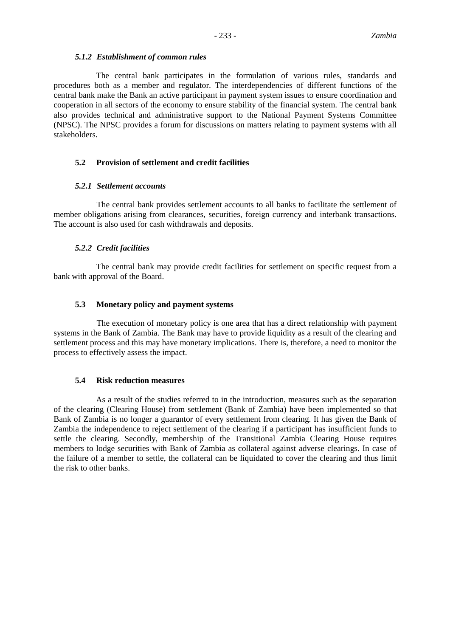#### *5.1.2 Establishment of common rules*

The central bank participates in the formulation of various rules, standards and procedures both as a member and regulator. The interdependencies of different functions of the central bank make the Bank an active participant in payment system issues to ensure coordination and cooperation in all sectors of the economy to ensure stability of the financial system. The central bank also provides technical and administrative support to the National Payment Systems Committee (NPSC). The NPSC provides a forum for discussions on matters relating to payment systems with all stakeholders.

# **5.2 Provision of settlement and credit facilities**

## *5.2.1 Settlement accounts*

The central bank provides settlement accounts to all banks to facilitate the settlement of member obligations arising from clearances, securities, foreign currency and interbank transactions. The account is also used for cash withdrawals and deposits.

#### *5.2.2 Credit facilities*

The central bank may provide credit facilities for settlement on specific request from a bank with approval of the Board.

# **5.3 Monetary policy and payment systems**

The execution of monetary policy is one area that has a direct relationship with payment systems in the Bank of Zambia. The Bank may have to provide liquidity as a result of the clearing and settlement process and this may have monetary implications. There is, therefore, a need to monitor the process to effectively assess the impact.

#### **5.4 Risk reduction measures**

As a result of the studies referred to in the introduction, measures such as the separation of the clearing (Clearing House) from settlement (Bank of Zambia) have been implemented so that Bank of Zambia is no longer a guarantor of every settlement from clearing. It has given the Bank of Zambia the independence to reject settlement of the clearing if a participant has insufficient funds to settle the clearing. Secondly, membership of the Transitional Zambia Clearing House requires members to lodge securities with Bank of Zambia as collateral against adverse clearings. In case of the failure of a member to settle, the collateral can be liquidated to cover the clearing and thus limit the risk to other banks.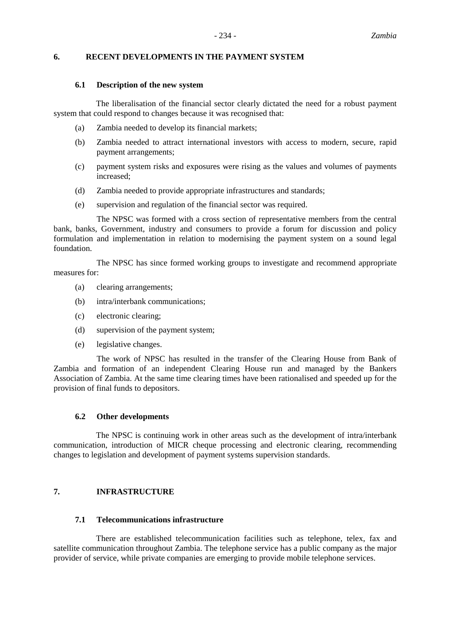# **6. RECENT DEVELOPMENTS IN THE PAYMENT SYSTEM**

## **6.1 Description of the new system**

The liberalisation of the financial sector clearly dictated the need for a robust payment system that could respond to changes because it was recognised that:

- (a) Zambia needed to develop its financial markets;
- (b) Zambia needed to attract international investors with access to modern, secure, rapid payment arrangements;
- (c) payment system risks and exposures were rising as the values and volumes of payments increased;
- (d) Zambia needed to provide appropriate infrastructures and standards;
- (e) supervision and regulation of the financial sector was required.

The NPSC was formed with a cross section of representative members from the central bank, banks, Government, industry and consumers to provide a forum for discussion and policy formulation and implementation in relation to modernising the payment system on a sound legal foundation.

The NPSC has since formed working groups to investigate and recommend appropriate measures for:

- (a) clearing arrangements;
- (b) intra/interbank communications;
- (c) electronic clearing;
- (d) supervision of the payment system;
- (e) legislative changes.

The work of NPSC has resulted in the transfer of the Clearing House from Bank of Zambia and formation of an independent Clearing House run and managed by the Bankers Association of Zambia. At the same time clearing times have been rationalised and speeded up for the provision of final funds to depositors.

#### **6.2 Other developments**

The NPSC is continuing work in other areas such as the development of intra/interbank communication, introduction of MICR cheque processing and electronic clearing, recommending changes to legislation and development of payment systems supervision standards.

# **7. INFRASTRUCTURE**

## **7.1 Telecommunications infrastructure**

There are established telecommunication facilities such as telephone, telex, fax and satellite communication throughout Zambia. The telephone service has a public company as the major provider of service, while private companies are emerging to provide mobile telephone services.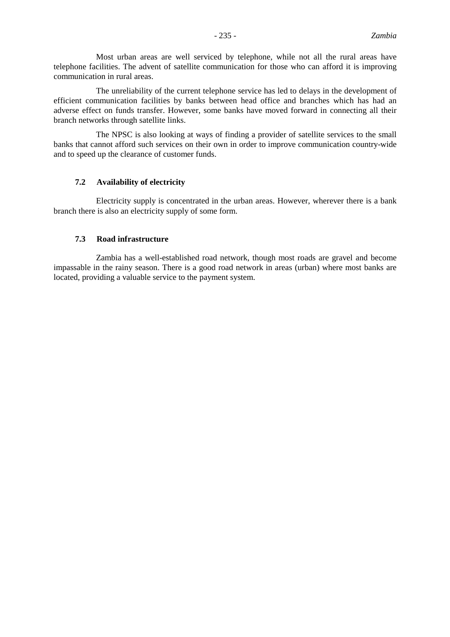Most urban areas are well serviced by telephone, while not all the rural areas have telephone facilities. The advent of satellite communication for those who can afford it is improving communication in rural areas.

The unreliability of the current telephone service has led to delays in the development of efficient communication facilities by banks between head office and branches which has had an adverse effect on funds transfer. However, some banks have moved forward in connecting all their branch networks through satellite links.

The NPSC is also looking at ways of finding a provider of satellite services to the small banks that cannot afford such services on their own in order to improve communication country-wide and to speed up the clearance of customer funds.

## **7.2 Availability of electricity**

Electricity supply is concentrated in the urban areas. However, wherever there is a bank branch there is also an electricity supply of some form.

# **7.3 Road infrastructure**

Zambia has a well-established road network, though most roads are gravel and become impassable in the rainy season. There is a good road network in areas (urban) where most banks are located, providing a valuable service to the payment system.